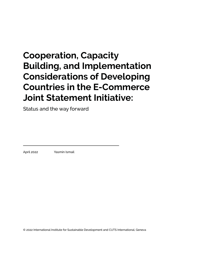# **Cooperation, Capacity Building, and Implementation Considerations of Developing Countries in the E-Commerce Joint Statement Initiative:**

Status and the way forward

April 2022 Yasmin Ismail

© 2022 International Institute for Sustainable Development and CUTS International, Geneva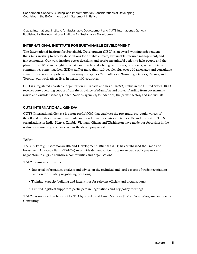© 2022 International Institute for Sustainable Development and CUTS International, Geneva Published by the International Institute for Sustainable Development

#### **INTERNATIONAL INSTITUTE FOR SUSTAINABLE DEVELOPMENT**

The International Institute for Sustainable Development (IISD) is an award-winning independent think tank working to accelerate solutions for a stable climate, sustainable resource management, and fair economies. Our work inspires better decisions and sparks meaningful action to help people and the planet thrive. We shine a light on what can be achieved when governments, businesses, non-profits, and communities come together. IISD's staff of more than 120 people, plus over 150 associates and consultants, come from across the globe and from many disciplines. With offices in Winnipeg, Geneva, Ottawa, and Toronto, our work affects lives in nearly 100 countries.

IISD is a registered charitable organization in Canada and has  $501(c)(3)$  status in the United States. IISD receives core operating support from the Province of Manitoba and project funding from governments inside and outside Canada, United Nations agencies, foundations, the private sector, and individuals.

#### **CUTS INTERNATIONAL, GENEVA**

CUTS International, Geneva is a non-profit NGO that catalyses the pro-trade, pro-equity voices of the Global South in international trade and development debates in Geneva. We and our sister CUTS organizations in India, Kenya, Zambia, Vietnam, Ghana and Washington have made our footprints in the realm of economic governance across the developing world.

#### **TAF2+**

The UK Foreign, Commonwealth and Development Office (FCDO) has established the Trade and Investment Advocacy Fund (TAF2+) to provide demand-driven support to trade policymakers and negotiators in eligible countries, communities and organisations.

TAF2+ assistance provides:

- Impartial information, analysis and advice on the technical and legal aspects of trade negotiations, and on formulating negotiating positions;
- Training, capacity building and internships for relevant officials and organisations;
- Limited logistical support to participate in negotiations and key policy meetings.

 TAF2+ is managed on behalf of FCDO by a dedicated Fund Manager (FM): CowaterSogema and Saana Consulting.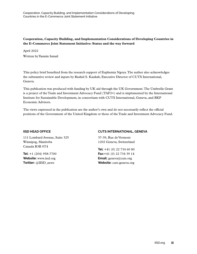#### **Cooperation, Capacity Building, and Implementation Considerations of Developing Countries in the E-Commerce Joint Statement Initiative: Status and the way forward**

April 2022 Written by Yasmin Ismail

This policy brief benefited from the research support of Euphemia Ngoya. The author also acknowledges the substantive review and inputs by Rashid S. Kaukab, Executive Director of CUTS International, Geneva.

This publication was produced with funding by UK aid through the UK Government. The Umbrella Grant is a project of the Trade and Investment Advocacy Fund (TAF2+) and is implemented by the International Institute for Sustainable Development, in consortium with CUTS International, Geneva, and BKP Economic Advisors.

The views expressed in the publication are the author's own and do not necessarily reflect the official positions of the Government of the United Kingdom or those of the Trade and Investment Advocacy Fund.

#### **IISD HEAD OFFICE**

111 Lombard Avenue, Suite 325 Winnipeg, Manitoba Canada R3B 0T4

**Tel:** +1 (204) 958-7700 **Website:** <www.iisd.org> **Twitter:** @IISD\_news

#### **CUTS INTERNATIONAL, GENEVA**

37-39, Rue de Vermont 1202 Geneva, Switzerland

**Tel:** +41 (0) 22 734 60 80 **Fax:**+41 (0) 22 734 39 14 **Email:** geneva@cuts.org **Website:** cuts-geneva.org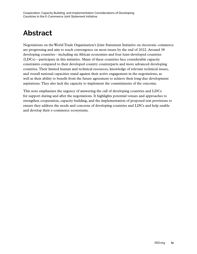## **Abstract**

Negotiations on the World Trade Organization's Joint Statement Initiative on electronic commerce are progressing and aim to reach convergence on most issues by the end of 2022. Around 38 developing countries—including six African economies and four least-developed countries (LDCs)—participate in this initiative. Many of these countries face considerable capacity constraints compared to their developed country counterparts and more advanced developing countries. Their limited human and technical resources, knowledge of relevant technical issues, and overall national capacities stand against their active engagement in the negotiations, as well as their ability to benefit from the future agreement to achieve their long-due development aspirations. They also lack the capacity to implement the commitments of the outcome.

This note emphasizes the urgency of answering the call of developing countries and LDCs for support during and after the negotiations. It highlights potential venues and approaches to strengthen cooperation, capacity building, and the implementation of proposed text provisions to ensure they address the needs and concerns of developing countries and LDCs and help enable and develop their e-commerce ecosystems.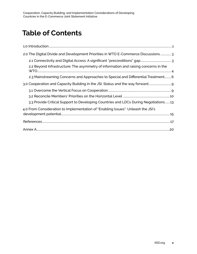## **Table of Contents**

| 2.0 The Digital Divide and Development Priorities in WTO E-Commerce Discussions 3   |
|-------------------------------------------------------------------------------------|
|                                                                                     |
| 2.2 Beyond Infrastructure: The asymmetry of information and raising concerns in the |
| 2.3 Mainstreaming Concerns and Approaches to Special and Differential Treatment 6   |
| 3.0 Cooperation and Capacity Building in the JSI: Status and the way forward        |
|                                                                                     |
|                                                                                     |
| 3.3 Provide Critical Support to Developing Countries and LDCs During Negotiations13 |
| 4.0 From Consideration to Implementation of "Enabling Issues": Unleash the JSI's    |
|                                                                                     |
|                                                                                     |
|                                                                                     |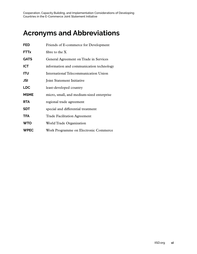## **Acronyms and Abbreviations**

| <b>FED</b>  | Friends of E-commerce for Development     |
|-------------|-------------------------------------------|
| <b>FTTx</b> | fibre to the $X$                          |
| <b>GATS</b> | General Agreement on Trade in Services    |
| <b>ICT</b>  | information and communication technology  |
| ITU         | International Telecommunication Union     |
| JSI         | Joint Statement Initiative                |
| <b>LDC</b>  | least-developed country                   |
| <b>MSME</b> | micro, small, and medium-sized enterprise |
| <b>RTA</b>  | regional trade agreement                  |
| <b>SDT</b>  | special and differential treatment        |
| <b>TFA</b>  | <b>Trade Facilitation Agreement</b>       |
| <b>WTO</b>  | World Trade Organization                  |
| <b>WPEC</b> | Work Programme on Electronic Commerce     |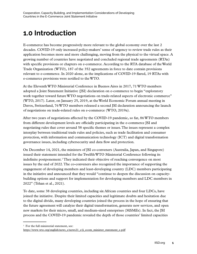## <span id="page-6-0"></span>**1.0 Introduction**

E-commerce has become progressively more relevant to the global economy over the last 2 decades. COVID-19 only increased policy-makers' sense of urgency to review trade rules as their application becomes more and more challenging, moving from the physical to the virtual space. A growing number of countries have negotiated and concluded regional trade agreements (RTAs) with specific provisions or chapters on e-commerce. According to the RTA database of the World Trade Organization (WTO), 187 of the 352 agreements in force to date contain provisions relevant to e-commerce. In 2020 alone, as the implications of COVID-19 flared, 19 RTAs with e-commerce provisions were notified to the WTO.

At the Eleventh WTO Ministerial Conference in Buenos Aires in 2017, 71 WTO members adopted a Joint Statement Initiative (JSI) declaration on e-commerce to begin "exploratory work together toward future WTO negotiations on trade-related aspects of electronic commerce" (WTO, 2017). Later, on January 25, 2019, at the World Economic Forum annual meeting in Davos, Switzerland, 76 WTO members released a second JSI declaration announcing the launch of negotiations on trade-related rules on e-commerce (WTO, 2019a).

After two years of negotiations affected by the COVID-19 pandemic, so far, 86 WTO members from different development levels are officially participating in the e-commerce JSI and negotiating rules that cover around 58 specific themes or issues. The issues represent a complex interplay between traditional trade rules and policies, such as trade facilitation and consumer protection, with information and communication technology (ICT) and digital transformation governance issues, including cybersecurity and data flow and protection.

On December 14, 2021, the ministers of JSI co-conveners (Australia, Japan, and Singapore) issued their statement intended for the Twelfth WTO Ministerial Conference following its indefinite postponement.<sup>1</sup> They indicated their objective of reaching convergence on most issues by the end of 2022. The co-conveners also recognized the importance of supporting the engagement of developing members and least-developing country (LDC) members participating in the initiative and announced that they would "continue to deepen the discussion on capacitybuilding options and support for implementation for developing members and LDC members in 2022" (Tehan et al., 2021).

To date, some 38 developing countries, including six African countries and four LDCs, have joined the initiative. Despite their limited capacities and legitimate doubts and hesitation due to the digital divide, many developing countries joined the process in the hope of ensuring that the future agreement will catalyze their digital transformation, generate new services, and open new markets for their micro, small, and medium-sized enterprises (MSMEs). In fact, the JSI process and the COVID-19 pandemic revealed the depth of those countries' limited capacities

<sup>&</sup>lt;sup>1</sup> For the full ministerial statement, see:

[https://www.wto.org/english/news\\_e/news21\\_e/ji\\_ecom\\_minister\\_statement\\_e.pdf](https://www.wto.org/english/news_e/news21_e/ji_ecom_minister_statement_e.pdf)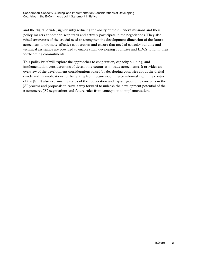and the digital divide, significantly reducing the ability of their Geneva missions and their policy-makers at home to keep track and actively participate in the negotiations. They also raised awareness of the crucial need to strengthen the development dimension of the future agreement to promote effective cooperation and ensure that needed capacity building and technical assistance are provided to enable small developing countries and LDCs to fulfill their forthcoming commitments.

This policy brief will explore the approaches to cooperation, capacity building, and implementation considerations of developing countries in trade agreements. It provides an overview of the development considerations raised by developing countries about the digital divide and its implications for benefiting from future e-commerce rule-making in the context of the JSI. It also explains the status of the cooperation and capacity-building concerns in the JSI process and proposals to carve a way forward to unleash the development potential of the e-commerce JSI negotiations and future rules from conception to implementation.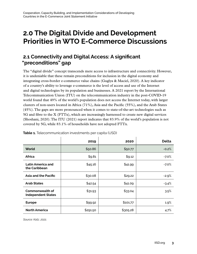## <span id="page-8-0"></span>**2.0 The Digital Divide and Development Priorities in WTO E-Commerce Discussions**

### **2.1 Connectivity and Digital Access: A significant "preconditions" gap**

The "digital divide" concept transcends mere access to infrastructure and connectivity. However, it is undeniable that these remain preconditions for inclusion in the digital economy and integrating cross-border e-commerce value chains (Guglya & Maciel, 2020). A key indicator of a country's ability to leverage e-commerce is the level of access and use of the Internet and digital technologies by its population and businesses. A 2021 report by the International Telecommunication Union (ITU) on the telecommunication industry in the post-COVID-19 world found that 49% of the world's population does not access the Internet today, with larger clusters of non-users located in Africa (71%), Asia and the Pacific (55%), and the Arab States (45%). The gaps are more pronounced when it comes to state-of-the-art technologies such as 5G and fibre to the X (FTTx), which are increasingly harnessed to create new digital services (Shoshani, 2020). The ITU (2021) report indicates that 83.9% of the world's population is not covered by 5G, while 83.1% of households have not adopted FTTx.

|                                                     | 2019     | 2020     | <b>Delta</b> |
|-----------------------------------------------------|----------|----------|--------------|
| World                                               | \$50.86  | \$50.77  | $-0.2%$      |
| Africa                                              | \$9.81   | \$9.12   | -7.0%        |
| Latin America and<br>the Caribbean                  | \$45.16  | \$41.99  | $-7.0%$      |
| Asia and the Pacific                                | \$30.08  | \$29.22  | $-2.9%$      |
| <b>Arab States</b>                                  | \$42.54  | \$41.09  | $-3.4%$      |
| <b>Commonwealth of</b><br><b>Independent States</b> | \$31.93  | \$33.04  | 3.5%         |
| <b>Europe</b>                                       | \$99.92  | \$101.77 | 1.9%         |
| <b>North America</b>                                | \$291.50 | \$305.28 | 4.7%         |

**Table 1.** Telecommunication investments per capita (USD)

*Source: Katz, 2021.*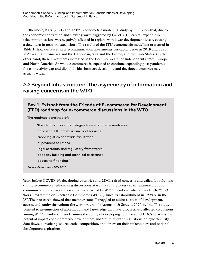<span id="page-9-0"></span>Furthermore, Katz (2021) and a 2021 econometric modelling study by ITU show that, due to the economic contraction and slower growth triggered by COVID-19, capital expenditure in telecommunications was negatively affected in regions with lower development levels, causing a downturn in network expansions. The results of the ITU econometric modelling presented in Table 1 show decreases in telecommunication investments per capita between 2019 and 2020 in Africa, Latin America and the Caribbean, Asia and the Pacific, and the Arab States. On the other hand, these investments increased in the Commonwealth of Independent States, Europe, and North America. So while e-commerce is expected to continue expanding post-pandemic, the connectivity gap and digital divides between developing and developed countries may actually widen.

### **2.2 Beyond Infrastructure: The asymmetry of information and raising concerns in the WTO**

### **Box 1. Extract from the Friends of E-commerce for Development (FED) roadmap for e-commerce discussions in the WTO**

The roadmap consisted of :

- "the identification of strategies for e-commerce readiness
- access to ICT infrastructure and services
- trade logistics and trade facilitation
- e-payment solutions
- legal certainty and regulatory frameworks
- capacity building and technical assistance
- access to financing."

*Source: Extract from FED, 2017.*

Years before COVID-19, developing countries and LDCs raised concerns and called for solutions during e-commerce rule-making discussions. Aaronson and Struett (2020) examined public communications on e-commerce that were issued by WTO members, whether under the WTO Work Programme on Electronic Commerce (WPEC) since its establishment in 1998 or in the JSI. Their research showed that member states "struggled to address issues of development, access, and equity throughout the work program" (Aaronson & Struett, 2020, p. 14). The study pointed to asymmetries of information and knowledge that have progressively affected discussions among WTO members. It undermines the ability of developing countries and LDCs to assess the potential impacts of e-commerce development and future relevant regulations on cybersecurity, data flows, e-invoicing, source code, competition, and others on their stakeholders and national development aspirations.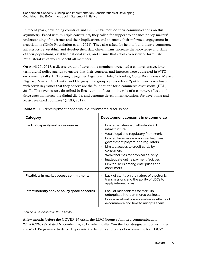In recent years, developing countries and LDCs have focused their communications on this asymmetry. Faced with multiple constraints, they called for support to enhance policy-makers' understanding of the issues and their implications and to enable their informed engagement in negotiations (Diplo Foundation et al., 2021). They also asked for help to build their e-commerce infrastructure, establish and develop their data-driven firms, increase the knowledge and skills of their populations, establish national rules, and ensure that efforts to review or formulate multilateral rules would benefit all members.

On April 25, 2017, a diverse group of developing members presented a comprehensive, longterm digital policy agenda to ensure that their concerns and interests were addressed in WTO e-commerce talks. FED brought together Argentina, Chile, Colombia, Costa Rica, Kenya, Mexico, Nigeria, Pakistan, Sri Lanka, and Uruguay. The group's press release "put forward a roadmap with seven key issues that they believe are the foundation" for e-commerce discussions (FED, 2017). The seven issues, described in Box 1, aim to focus on the role of e-commerce "as a tool to drive growth, narrow the digital divide, and generate development solutions for developing and least-developed countries" (FED, 2017).

| Category                                        | Development concerns in e-commerce                                                                                                                                                                                                                                                                                                                                                                                                |
|-------------------------------------------------|-----------------------------------------------------------------------------------------------------------------------------------------------------------------------------------------------------------------------------------------------------------------------------------------------------------------------------------------------------------------------------------------------------------------------------------|
| Lack of capacity and/or resources               | Limited existence of affordable ICT<br>infrastructure<br>• Weak legal and regulatory frameworks<br>Limited knowledge among enterprises,<br>$\bullet$<br>government players, and regulators<br>Limited access to credit cards by<br>$\bullet$<br>consumers<br>$\cdot$ Weak facilities for physical delivery<br>Inadequate online payment facilities<br>$\bullet$<br>Limited skills among enterprises and<br>$\bullet$<br>consumers |
| <b>Flexibility in market access commitments</b> | Lack of clarity on the nature of electronic<br>٠<br>transmissions and the ability of LDCs to<br>apply internal taxes                                                                                                                                                                                                                                                                                                              |
| Infant industry and/or policy space concerns    | $\cdot$ Lack of mechanisms for start-up<br>enterprises in e-commerce business<br>Concerns about possible adverse effects of<br>$\bullet$<br>e-commerce and how to mitigate them                                                                                                                                                                                                                                                   |

| Table 2. LDC development concerns in e-commerce discussions |  |  |
|-------------------------------------------------------------|--|--|
|                                                             |  |  |

 *Source: Author based on WTO, 2019b.*

A few months before the COVID-19 crisis, the LDC Group submitted communication WT/GC/W/787, dated November 14, 2019, which called "on the four designated bodies under the Work Programme to delve deeper into the benefits and costs of e-commerce for LDCs"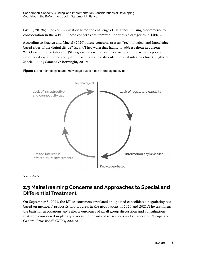<span id="page-11-0"></span>(WTO, 2019b). The communication listed the challenges LDCs face in using e-commerce for consideration in the WPEC. These concerns are itemized under three categories in Table 2.

According to Guglya and Maciel (2020), these concerns present "technological and knowledgebased sides of the digital divide" (p. vi). They warn that failing to address them in current WTO e-commerce talks and JSI negotiations would lead to a vicious circle, where a poor and unfounded e-commerce ecosystem discourages investments in digital infrastructure (Guglya & Maciel, 2020; Samans & Botwright, 2019).





*Source: Author.*

### **2.3 Mainstreaming Concerns and Approaches to Special and Differential Treatment**

On September 8, 2021, the JSI co-conveners circulated an updated consolidated negotiating text based on members' proposals and progress in the negotiations in 2020 and 2021. The text forms the basis for negotiations and reflects outcomes of small group discussions and consultations that were considered in plenary sessions. It consists of six sections and an annex on "Scope and General Provisions" (WTO, 2021b).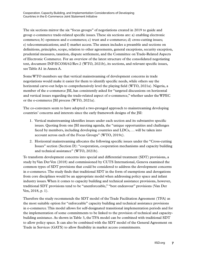The six sections mirror the six "focus groups" of negotiations created in 2019 to guide and group e-commerce trade-related specific issues. These six sections are: a) enabling electronic commerce; b) openness and e-commerce; c) trust and e-commerce; d) cross-cutting issues; e) telecommunications; and f) market access. The annex includes a preamble and sections on definitions, principles, scope, relation to other agreements, general exceptions, security exception, prudential measures, taxation, dispute settlement, and the Committee on Trade-Related Aspects of Electronic Commerce. For an overview of the latest structure of the consolidated negotiating text, document INF/ECOM/62/Rev.2 (WTO, 2021b), its sections, and relevant specific issues, see Table A1 in Annex A.

Some WTO members say that vertical mainstreaming of development concerns in trade negotiations would make it easier for them to identify specific needs, while others say the horizontal carve-out helps to comprehensively level the playing field (WTO, 2021a). Nigeria, a member of the e-commerce JSI, has consistently asked for "targeted discussions on horizontal and vertical issues regarding the trade-related aspect of e-commerce," whether under the WPEC or the e-commerce JSI process (WTO, 2021a).

The co-conveners seem to have adopted a two-pronged approach to mainstreaming developing countries' concerns and interests since the early framework designs of the JSI:

- 1. Vertical mainstreaming identifies issues under each section and its substantive specific issues. Quoting from one JSI meeting agenda, the "unique opportunities and challenges faced by members, including developing countries and LDCs, … will be taken into account across each of the Focus Groups" (WTO, 2019c).
- 2. Horizontal mainstreaming allocates the following specific issues under the "Cross-cutting Issues" section (Section D): "cooperation, cooperation mechanisms and capacity building and technical assistance" (WTO, 2021b).

To transform development concerns into special and differential treatment (SDT) provisions, a study by Van Der Ven (2018) and commissioned by CUTS International, Geneva examined the common types of SDT provisions that could be considered to address the development concerns in e-commerce. The study finds that traditional SDT in the form of exemptions and derogations from core disciplines would be an appropriate model when addressing policy space and infant industry issues. When it comes to capacity building and technical assistance provisions, however, traditional SDT provisions tend to be "unenforceable," "best endeavour" provisions (Van Der Ven, 2018, p. 1).

Therefore the study recommends the SDT model of the Trade Facilitation Agreement (TFA) as the most suitable option for "enforceable" capacity building and technical assistance provisions in e-commerce. This model allows for self-designated transitional implementation periods and for the implementation of some commitments to be linked to the provision of technical and capacitybuilding assistance. As shown in Table 3, the TFA model can be combined with traditional SDT to allow policy space. It can also be combined with the SDT model of the General Agreement on Trade in Services (GATS) to allow flexibility in market access commitments.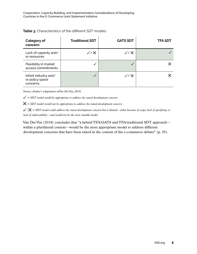| <b>Category of</b><br>concern                       | <b>Traditional SDT</b> | <b>GATS SDT</b>             | <b>TFA SDT</b> |
|-----------------------------------------------------|------------------------|-----------------------------|----------------|
| Lack of capacity and/<br>or resources               | V / X                  | $\checkmark$ / $\checkmark$ |                |
| Flexibility in market<br>access commitments         |                        |                             |                |
| Infant industry and/<br>or policy space<br>concerns |                        | $\sqrt{7}$                  |                |

### **Table 3.** Characteristics of the different SDT models

*Source: Author's adaptation of Van Der Ven, 2018.*

 $\angle$  = SDT model would be appropriate to address the stated development concern

✖ *= SDT model would not be appropriate to address the stated development concern* 

✔*/* ✖ *= SDT model could address the stated development concern but is limited—either because of scope, lack of specificity, or lack of enforceability—and would not be the most suitable model* 

Van Der Ven (2018) concludes that "a hybrid TFA/GATS and TFA/traditional SDT approach within a plurilateral context—would be the most appropriate model to address different development concerns that have been raised in the context of the e-commerce debate" (p. 29).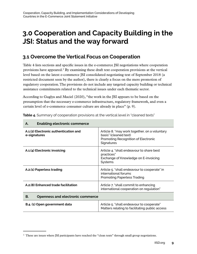## <span id="page-14-0"></span>**3.0 Cooperation and Capacity Building in the JSI: Status and the way forward**

### **3.1 Overcome the Vertical Focus on Cooperation**

Table 4 lists sections and specific issues in the e-commerce JSI negotiations where cooperation provisions have appeared.<sup>2</sup> By examining these draft text cooperation provisions at the vertical level based on the latest e-commerce JSI consolidated negotiating text of September 2018 (a restricted document seen by the author), there is clearly a focus on the mere promotion of regulatory cooperation. The provisions do not include any targeted capacity building or technical assistance commitments related to the technical issues under each thematic sector.

According to Guglya and Maciel (2020), "the work in the JSI appears to be based on the presumption that the necessary e-commerce infrastructure, regulatory framework, and even a certain level of e-commerce consumer culture are already in place" (p. 9).

| <b>Enabling electronic commerce</b><br>А.             |                                                                                                                             |  |  |
|-------------------------------------------------------|-----------------------------------------------------------------------------------------------------------------------------|--|--|
| A.1.(2) Electronic authentication and<br>e-signatures | Article 8. "may work together, on a voluntary<br>basis" (cleaned text)<br>Promoting Recognition of Electronic<br>Signatures |  |  |
| A.1.(4) Electronic invoicing                          | Article 4. "shall endeavour to share best<br>practices"<br>Exchange of Knowledge on E-invoicing<br>Systems                  |  |  |
| A.2.(1) Paperless trading                             | Article 5. "shall endeavour to cooperate" in<br>international forums<br><b>Promoting Paperless Trading</b>                  |  |  |
| A.2.(8) Enhanced trade facilitation                   | Article 7. "shall commit to enhancing<br>international cooperation on regulation"                                           |  |  |
| В.<br>Openness and electronic commerce                |                                                                                                                             |  |  |
| B.4. (1) Open government data                         | Article 5. "shall endeavour to cooperate"<br>Matters relating to facilitating public access                                 |  |  |

**Table 4.** Summary of cooperation provisions at the vertical level in "cleaned texts"

<sup>&</sup>lt;sup>2</sup> These are issues where JSI participants have reached the "clean texts" through small group negotiations.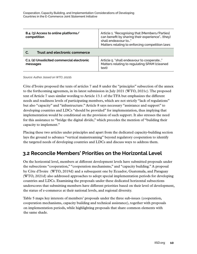<span id="page-15-0"></span>

| B.4. (3) Access to online platforms/<br>competition    | Article 1. "Recognising that [Members/Parties]<br>can benefit by sharing their experience" (they)<br>shall endeavour to"<br>Matters relating to enforcing competition laws |  |  |
|--------------------------------------------------------|----------------------------------------------------------------------------------------------------------------------------------------------------------------------------|--|--|
| Trust and electronic commerce<br>C.                    |                                                                                                                                                                            |  |  |
| C.1. (2) Unsolicited commercial electronic<br>messages | Article 5. "shall endeavour to cooperate"<br>Matters relating to regulating SPAM (cleaned<br>text)                                                                         |  |  |

*Source: Author, based on WTO, 2021b.*

Côte d'Ivoire proposed the texts of articles 7 and 8 under the "principles" subsection of the annex to the forthcoming agreemen, in its latest submission in July 2021 (WTO, 2021c). The proposed text of Article 7 uses similar wording to Article 13.1 of the TFA but emphasizes the different needs and readiness levels of participating members, which are not strictly "lack of regulations" but also "capacity" and "infrastructure." Article 8 says necessary "assistance and support" to developing countries and LDCs "should be provided" for implementation, thus implying that implementation would be conditional on the provision of such support. It also stresses the need for this assistance to "bridge the digital divide," which precedes the mention of "building their capacity to implement."

Placing these two articles under principles and apart from the dedicated capacity-building section lays the ground to advance "vertical mainstreaming" beyond regulatory cooperation to identify the targeted needs of developing countries and LDCs and discuss ways to address them.

### **3.2 Reconcile Members' Priorities on the Horizontal Level**

On the horizontal level, members at different development levels have submitted proposals under the subsections "cooperation," "cooperation mechanisms," and "capacity building." A proposal by Côte d'Ivoire (WTO, 2019d) and a subsequent one by Ecuador, Guatemala, and Paraguay (WTO, 2021d) also addressed approaches to adopt special implementation periods for developing countries and LDCs. Examining the proposals under these dedicated horizontal subsections underscores that submitting members have different priorities based on their level of development, the status of e-commerce at their national levels, and regional diversity.

Table 5 maps key interests of members' proposals under the three sub-issues (cooperation, cooperation mechanisms, capacity building and technical assistance), together with proposals on implementation periods, while highlighting proposals that share common elements with the same shade.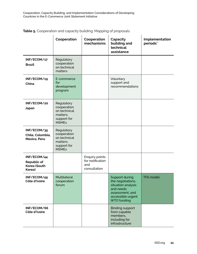**Table 5.** Cooperation and capacity building: Mapping of proposals

|                                                             | Cooperation                                                                          | Cooperation<br>mechanisms                                 | Capacity<br>building and<br>technical<br>assistance                                                                                  | Implementation<br>periods* |
|-------------------------------------------------------------|--------------------------------------------------------------------------------------|-----------------------------------------------------------|--------------------------------------------------------------------------------------------------------------------------------------|----------------------------|
| INF/ECOM/17<br><b>Brazil</b>                                | Regulatory<br>cooperation<br>on technical<br>matters                                 |                                                           |                                                                                                                                      |                            |
| INF/ECOM/19<br>China                                        | E-commerce<br>for<br>development<br>program                                          |                                                           | Voluntary<br>support and<br>recommendations                                                                                          |                            |
| INF/ECOM/20<br>Japan                                        | Regulatory<br>cooperation<br>on technical<br>matters:<br>support for<br><b>MSMEs</b> |                                                           |                                                                                                                                      |                            |
| INF/ECOM/35<br>Chile, Colombia,<br>Mexico, Peru             | Regulatory<br>cooperation<br>on technical<br>matters;<br>support for<br><b>MSMEs</b> |                                                           |                                                                                                                                      |                            |
| INF/ECOM/44<br><b>Republic of</b><br>Korea (South<br>Korea) |                                                                                      | Enquiry points<br>for notification<br>and<br>consultation |                                                                                                                                      |                            |
| INF/ECOM/49<br>Côte d'Ivoire                                | Multilateral<br>cooperation<br>forum                                                 |                                                           | Support during<br>the negotiations,<br>situation analysis<br>and needs<br>assessment, and<br>accessible urgent<br><b>WTO funding</b> | <b>TFA</b> model           |
| INF/ECOM/66<br>Côte d'Ivoire                                |                                                                                      |                                                           | <b>Binding support</b><br>from capable<br>members,<br>including for<br>infrastructure                                                |                            |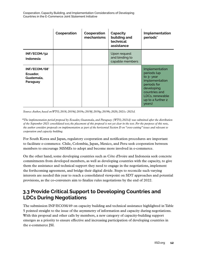|                                                    | Cooperation | Cooperation<br>mechanisms | Capacity<br>building and<br>technical<br>assistance | Implementation<br>periods*                                                                                                                                    |
|----------------------------------------------------|-------------|---------------------------|-----------------------------------------------------|---------------------------------------------------------------------------------------------------------------------------------------------------------------|
| INF/ECOM/52<br>Indonesia                           |             |                           | Upon request<br>and binding to<br>capable members   |                                                                                                                                                               |
| INF/ECOM/68*<br>Ecuador,<br>Guatemala,<br>Paraguay |             |                           |                                                     | Implementation<br>periods (up<br>to 3- year<br>implementation<br>periods for<br>developing<br>countries and<br>LDCs, renewable<br>up to a further 2<br>years) |

*Source: Author, based on WTO, 2018; 2019d; 2019e; 2019f; 2019g; 2019h; 2020; 2021c: 2021d.* 

*\*The implementation period proposal by Ecuador, Guatemala, and Paraguay (WTO, 2021d) was submitted after the distribution of the September 2021 consolidated text; the placement of this proposal is not yet clear in the text. For the purposes of this note, the author considers proposals on implementation as part of the horizontal Section D on "cross-cutting" issues and relevant to cooperation and capacity building.*

For South Korea and Japan, regulatory cooperation and notification procedures are important to facilitate e-commerce. Chile, Colombia, Japan, Mexico, and Peru seek cooperation between members to encourage MSMEs to adopt and become more involved in e-commerce.

On the other hand, some developing countries such as Côte d'Ivoire and Indonesia seek concrete commitments from developed members, as well as developing countries with the capacity, to give them the assistance and technical support they need to engage in the negotiations, implement the forthcoming agreement, and bridge their digital divide. Steps to reconcile such varying interests are needed this year to reach a consolidated viewpoint on SDT approaches and potential provisions, as the co-conveners aim to finalize rules negotiations by the end of 2022.

### **3.3 Provide Critical Support to Developing Countries and LDCs During Negotiations**

The submission INF/ECOM/49 on capacity building and technical assistance highlighted in Table 5 pointed straight to the issue of the asymmetry of information and capacity during negotiations. With this proposal and other calls by members, a new category of capacity-building support emerges as a priority to ensure effective and increasing participation of developing countries in the e-commerce JSI.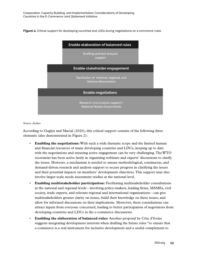<span id="page-18-0"></span>**Figure 2.** Critical support for developing countries and LDCs during negotiations on e-commerce rules

| <b>Enable elaboration of balanced rules</b>                         |  |  |  |
|---------------------------------------------------------------------|--|--|--|
| Drafting and text analysis<br>support                               |  |  |  |
| Enable stakeholder engagement                                       |  |  |  |
| Facilitation of national, regional, and<br>Geneva disscussions      |  |  |  |
| <b>Enable negotiations</b>                                          |  |  |  |
| Research and analysis support/<br><b>National Needs Assessments</b> |  |  |  |

#### *Source: Author.*

According to Guglya and Macial (2020), this critical support consists of the following three elements (also demonstrated in Figure 2):

- **Enabling the negotiations:** With such a wide thematic scope and the limited human and financial resources of many developing countries and LDCs, keeping up to date with the negotiations and ensuring active engagement can be very challenging. The WTO secretariat has been active lately in organizing webinars and experts' discussions to clarify the issues. However, a mechanism is needed to ensure methodological, continuous, and demand-driven research and analysis support to secure progress in clarifying the issues and their potential impacts on members' development objectives. This support may also involve larger-scale needs assessment studies at the national level.
- **Enabling multistakeholder participation:** Facilitating multistakeholder consultations at the national and regional levels—involving policy-makers, leading firms, MSMEs, civil society, trade experts, and relevant regional and international organizations—can give multistakeholders greater clarity on issues, build their knowledge on these issues, and allow for informed discussions on their implications. Moreover, these consultations can attract inputs from everyone concerned, leading to better participation of negotiators from developing countries and LDCs in the e-commerce discussions.
- **Enabling the elaboration of balanced rules:** Another proposal by Côte d'Ivoire suggests integrating development interests when drafting the future rules "to ensure that e-commerce is a real instrument for inclusive development and a useful complement to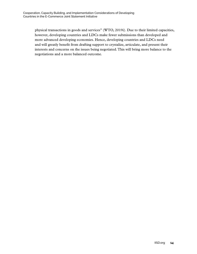physical transactions in goods and services" (WTO, 2019i). Due to their limited capacities, however, developing countries and LDCs make fewer submissions than developed and more advanced developing economies. Hence, developing countries and LDCs need and will greatly benefit from drafting support to crystalize, articulate, and present their interests and concerns on the issues being negotiated. This will bring more balance to the negotiations and a more balanced outcome.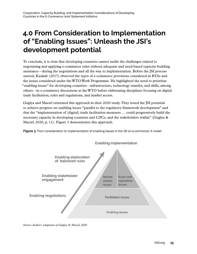## <span id="page-20-0"></span>**4.0 From Consideration to Implementation of "Enabling Issues": Unleash the JSI's development potential**

To conclude, it is clear that developing countries cannot tackle the challenges related to negotiating and applying e-commerce rules without adequate and need-based capacity-building assistance—during the negotiations and all the way to implementation. Before the JSI process started, Kaukab (2017) observed the types of e-commerce provisions considered in RTAs and the issues considered under the WTO Work Programme. He highlighted the need to prioritize "enabling issues" for developing countries—infrastructure, technology transfer, and skills, among others—in e-commerce discussions at the WTO before elaborating disciplines focusing on digital trade facilitation, rules and regulations, and market access.

Guglya and Maciel reiterated this approach in their 2020 study. They noted the JSI potential to achieve progress on enabling issues "parallel to the regulatory framework development" and that the "implementation of (digital) trade facilitation measures … could progressively build the necessary capacity in developing countries and LDCs, and the stakeholders within" (Guglya & Maciel, 2020, p. 11). Figure 3 demonstrates this approach.

**Figure 3.** From consideration to implementation of enabling issues in the JSI on e-commerce: A model



**Enabling implementation** 

*Source: Author's adapation of Guglya & Maciel, 2020*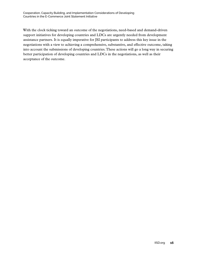With the clock ticking toward an outcome of the negotiations, need-based and demand-driven support initiatives for developing countries and LDCs are urgently needed from development assistance partners. It is equally imperative for JSI participants to address this key issue in the negotiations with a view to achieving a comprehensive, substantive, and effective outcome, taking into account the submissions of developing countries. These actions will go a long way in securing better participation of developing countries and LDCs in the negotiations, as well as their acceptance of the outcome.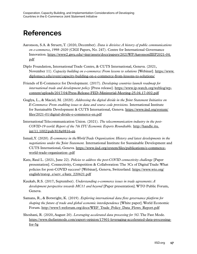## <span id="page-22-0"></span>**References**

- Aaronson, S.A. & Struett, T. (2020, December). *Data is divisive: A history of public communications on e-commerce, 1998–2020* (CIGI Papers, No. 247). Centre for International Governance Innovation. [https://www2.gwu.edu/~iiep/assets/docs/papers/2021WP/AaronsonIIEP2021-04.](https://www2.gwu.edu/~iiep/assets/docs/papers/2021WP/AaronsonIIEP2021-04.pdf) [pdf](https://www2.gwu.edu/~iiep/assets/docs/papers/2021WP/AaronsonIIEP2021-04.pdf)
- Diplo Foundation, International Trade Centre, & CUTS International, Geneva. (2021, November 11). *Capacity building on e-commerce: From lessons to solutions* [Webinar]. [https://www.](https://www.diplomacy.edu/event/capacity-building-on-e-commerce-from-lessons-to-solutions/) [diplomacy.edu/event/capacity-building-on-e-commerce-from-lessons-to-solutions/](https://www.diplomacy.edu/event/capacity-building-on-e-commerce-from-lessons-to-solutions/)
- Friends of E-Commerce for Development. (2017). *Developing countries launch roadmap for international trade and development policy* [Press release]. [https://www.ip-watch.org/weblog/wp](https://www.ip-watch.org/weblog/wp-content/uploads/2017/04/Press-Release-FED-Ministerial-Meeting-25.04.17-002.pdf)[content/uploads/2017/04/Press-Release-FED-Ministerial-Meeting-25.04.17-002.pdf](https://www.ip-watch.org/weblog/wp-content/uploads/2017/04/Press-Release-FED-Ministerial-Meeting-25.04.17-002.pdf)
- Guglya, L., & Maciel, M. (2020). *Addressing the digital divide in the Joint Statement Initiative on E-Commerce: From enabling issues to data and source code provisions.* International Institute for Sustainable Development & CUTS International, Geneva. [https://www.iisd.org/system/](https://www.iisd.org/system/files/2021-01/digital-divide-e-commerce-en.pdf) [files/2021-01/digital-divide-e-commerce-en.pdf](https://www.iisd.org/system/files/2021-01/digital-divide-e-commerce-en.pdf)
- International Telecommunication Union. (2021). *The telecommunication industry in the post-COVID-19 world: Report of the 7th ITU Economic Experts Roundtable.* [http://handle.itu.](http://handle.itu.int/11.1002/pub/818a9816-en) [int/11.1002/pub/818a9816-en](http://handle.itu.int/11.1002/pub/818a9816-en)
- Ismail, Y. (2020). *E-commerce in the World Trade Organization: History and latest developments in the negotiations under the Joint Statement.* International Institute for Sustainable Development and CUTS International, Geneva. [https://www.iisd.org/system/files/publications/e-commerce](https://www.iisd.org/system/files/publications/e-commerce-world-trade-organization-.pdf)[world-trade-organization-.pdf](https://www.iisd.org/system/files/publications/e-commerce-world-trade-organization-.pdf)
- Katz, Raul L. (2021, June 22). *Policies to address the post-COVID connectivity challenge* [Paper presentation]. Connectivity, Competition & Collaboration: The 3Cs of Digital Trade: What policies for post-COVID success? [Webinar], Geneva, Switzerland. [https://www.wto.org/](https://www.wto.org/english/tratop_e/serv_e/katz_220621.pdf) [english/tratop\\_e/serv\\_e/katz\\_220621.pdf](https://www.wto.org/english/tratop_e/serv_e/katz_220621.pdf)
- Kaukab, R.S. (2017, September). *Understanding e-commerce issues in trade agreements: A development perspective towards MC11 and beyond* [Paper presentation]. WTO Public Forum, Geneva.
- Samans, R., & Botwright, K. (2019). *Exploring international data flow governance platform for shaping the future of trade and global economic interdependence* [White paper]. World Economic Forum. [http://www3.weforum.org/docs/WEF\\_Trade\\_Policy\\_Data\\_Flows\\_Report.pdf](http://www3.weforum.org/docs/WEF_Trade_Policy_Data_Flows_Report.pdf)
- Shoshani, R. (2020, August 20). *Leveraging accelerated data processing for 5G*. The Fast Mode. [https://www.thefastmode.com/expert-opinion/17901-leveraging-accelerated-data-processing](https://www.thefastmode.com/expert-opinion/17901-leveraging-accelerated-data-processing-for-5g) $for-5g$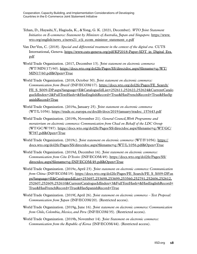- Tehan, D., Hayashi, Y., Hagiuda, K., & Yong, G. K. (2021, December). *WTO Joint Statement Initiative on E-commerce: Statement by Ministers of Australia, Japan and Singapore*. [https://www.](https://www.wto.org/english/news_e/news21_e/ji_ecom_minister_statement_e.pdf) [wto.org/english/news\\_e/news21\\_e/ji\\_ecom\\_minister\\_statement\\_e.pdf](https://www.wto.org/english/news_e/news21_e/ji_ecom_minister_statement_e.pdf)
- Van Der Ven, C. (2018). *Special and differential treatment in the context of the digital era.* CUTS International, Geneva. [https://www.cuts-geneva.org/pdf/KP2018-Paper-SDT\\_in\\_Digital\\_Era.](https://www.cuts-geneva.org/pdf/KP2018-Paper-SDT_in_Digital_Era.pdf) [pdf](https://www.cuts-geneva.org/pdf/KP2018-Paper-SDT_in_Digital_Era.pdf)
- World Trade Organization. (2017, December 13). *Joint statement on electronic commerce* (WT/MIN(17)/60). [https://docs.wto.org/dol2fe/Pages/SS/directdoc.aspx?filename=q:/WT/](https://docs.wto.org/dol2fe/Pages/SS/directdoc.aspx?filename=q:/WT/MIN17/60.pdf&Open=True) [MIN17/60.pdf&Open=True](https://docs.wto.org/dol2fe/Pages/SS/directdoc.aspx?filename=q:/WT/MIN17/60.pdf&Open=True)
- World Trade Organization. (2018, October 30). *Joint statement on electronic commerce: Communication from Brazil* (INF/ECOM/17). [https://docs.wto.org/dol2fe/Pages/FE\\_Search/](https://docs.wto.org/dol2fe/Pages/FE_Search/FE_S_S009-DP.aspx?language=E&CatalogueIdList=252611,252622,252624&CurrentCatalogueIdIndex=2&FullTextHash=&HasEnglishRecord=True&HasFrenchRecord=True&HasSpanishRecord=True) [FE\\_S\\_S009-DP.aspx?language=E&CatalogueIdList=252611,252622,252624&CurrentCatalo](https://docs.wto.org/dol2fe/Pages/FE_Search/FE_S_S009-DP.aspx?language=E&CatalogueIdList=252611,252622,252624&CurrentCatalogueIdIndex=2&FullTextHash=&HasEnglishRecord=True&HasFrenchRecord=True&HasSpanishRecord=True) [gueIdIndex=2&FullTextHash=&HasEnglishRecord=True&HasFrenchRecord=True&HasSp](https://docs.wto.org/dol2fe/Pages/FE_Search/FE_S_S009-DP.aspx?language=E&CatalogueIdList=252611,252622,252624&CurrentCatalogueIdIndex=2&FullTextHash=&HasEnglishRecord=True&HasFrenchRecord=True&HasSpanishRecord=True) [anishRecord=True](https://docs.wto.org/dol2fe/Pages/FE_Search/FE_S_S009-DP.aspx?language=E&CatalogueIdList=252611,252622,252624&CurrentCatalogueIdIndex=2&FullTextHash=&HasEnglishRecord=True&HasFrenchRecord=True&HasSpanishRecord=True)
- World Trade Organization. (2019a, January 25). *Joint statement on electronic commerce* (WT/L/1056). [https://trade.ec.europa.eu/doclib/docs/2019/january/tradoc\\_157643.pdf](https://trade.ec.europa.eu/doclib/docs/2019/january/tradoc_157643.pdf)
- World Trade Organization. (2019b, November 21). *General Council, Work Programme and moratorium on electronic commerce: Communication from Chad on Behalf of the LDC Group* (WT/GC/W/787). [https://docs.wto.org/dol2fe/Pages/SS/directdoc.aspx?filename=q:/WT/GC/](https://docs.wto.org/dol2fe/Pages/SS/directdoc.aspx?filename=q:/WT/GC/W787.pdf&Open=True) [W787.pdf&Open=True](https://docs.wto.org/dol2fe/Pages/SS/directdoc.aspx?filename=q:/WT/GC/W787.pdf&Open=True)
- World Trade Organization. (2019c). *Joint statement on electronic commerce* (WT/F/1056). [https://](https://docs.wto.org/dol2fe/Pages/SS/directdoc.aspx?filename=q:/WT/L/1056.pdf&Open=True) [docs.wto.org/dol2fe/Pages/SS/directdoc.aspx?filename=q:/WT/L/1056.pdf&Open=True](https://docs.wto.org/dol2fe/Pages/SS/directdoc.aspx?filename=q:/WT/L/1056.pdf&Open=True)
- World Trade Organization. (2019d, December 16). *Joint statement on electronic commerce: Communication from Côte D'Ivoire* (INF/ECOM/49). [https://docs.wto.org/dol2fe/Pages/SS/](https://docs.wto.org/dol2fe/Pages/SS/directdoc.aspx?filename=q:/INF/ECOM/49.pdf&Open=True) [directdoc.aspx?filename=q:/INF/ECOM/49.pdf&Open=True](https://docs.wto.org/dol2fe/Pages/SS/directdoc.aspx?filename=q:/INF/ECOM/49.pdf&Open=True)
- World Trade Organization. (2019e, April 23). *Joint statement on electronic commerce: Communication from China* (INF/ECOM/19). [https://docs.wto.org/dol2fe/Pages/FE\\_Search/FE\\_S\\_S009-DP.as](https://docs.wto.org/dol2fe/Pages/FE_Search/FE_S_S009-DP.aspx?language=E&CatalogueIdList=253697,253698,253699,253560,252791,252606,252612,252607,252609,252610&CurrentCatalogueIdIndex=3&FullTextHash=&HasEnglishRecord=True&HasFrenchRecord=True&HasSpanishRecord=True) [px?language=E&CatalogueIdList=253697,253698,253699,253560,252791,252606,252612,](https://docs.wto.org/dol2fe/Pages/FE_Search/FE_S_S009-DP.aspx?language=E&CatalogueIdList=253697,253698,253699,253560,252791,252606,252612,252607,252609,252610&CurrentCatalogueIdIndex=3&FullTextHash=&HasEnglishRecord=True&HasFrenchRecord=True&HasSpanishRecord=True) [252607,252609,252610&CurrentCatalogueIdIndex=3&FullTextHash=&HasEnglishRecord=](https://docs.wto.org/dol2fe/Pages/FE_Search/FE_S_S009-DP.aspx?language=E&CatalogueIdList=253697,253698,253699,253560,252791,252606,252612,252607,252609,252610&CurrentCatalogueIdIndex=3&FullTextHash=&HasEnglishRecord=True&HasFrenchRecord=True&HasSpanishRecord=True) [True&HasFrenchRecord=True&HasSpanishRecord=True](https://docs.wto.org/dol2fe/Pages/FE_Search/FE_S_S009-DP.aspx?language=E&CatalogueIdList=253697,253698,253699,253560,252791,252606,252612,252607,252609,252610&CurrentCatalogueIdIndex=3&FullTextHash=&HasEnglishRecord=True&HasFrenchRecord=True&HasSpanishRecord=True)
- World Trade Organization. (2019f, April 26). *Joint statement on electronic commerce Text Proposal: Communication from Japan* (INF/ECOM/20). (Restricted access).
- World Trade Organization. (2019g, June 16). *Joint statement on electronic commerce: Communication from Chile, Colombia, Mexico, and Peru* (INF/ECOM/35). (Restricted access).
- World Trade Organization. (2019h, November 14). *Joint Statement on electronic commerce: Communication from the Republic of Korea* (INF/ECOM/44). (Restricted access).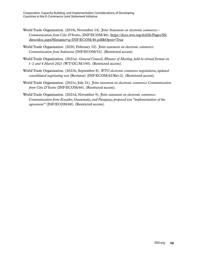- World Trade Organization. (2019i, November 14). *Joint Statement on electronic commerce: Communication from Côte D'Ivoire*, (INF/ECOM/46). [https://docs.wto.org/dol2fe/Pages/SS/](https://docs.wto.org/dol2fe/Pages/SS/directdoc.aspx?filename=q:/INF/ECOM/46.pdf&Open=True) [directdoc.aspx?filename=q:/INF/ECOM/46.pdf&Open=True](https://docs.wto.org/dol2fe/Pages/SS/directdoc.aspx?filename=q:/INF/ECOM/46.pdf&Open=True)
- World Trade Organization. (2020, February 10). *Joint statement on electronic commerce: Communication from Indonesia* (INF/ECOM/52). (Restricted access)
- World Trade Organization. (2021a). *General Council, Minutes of Meeting, held in virtual format on 1–2 and 4 March 2021* (WT/GC/M/190). (Restricted access).
- World Trade Organization. (2021b, September 8). *WTO electronic commerce negotiations, updated consolidated negotiating text* (Revision) (INF/ECOM/62/Rev.2). (Restricted access).
- World Trade Organization. (2021c, July 21). *Joint statement on electronic commerce: Communication from Côte D'Ivoire* (INF/ECOM/66). (Restricted access).
- World Trade Organization. (2021d, November 9). *Joint statement on electronic commerce: Communication from Ecuador, Guatemala, and Paraguay, proposed text "implementation of the agreement"* (INF/ECOM/68). (Restricted access).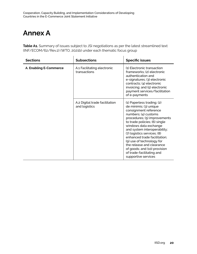## <span id="page-25-0"></span>**Annex A**

Table A1. Summary of issues subject to JSI negotiations as per the latest streamlined text (INF/ECOM/62/Rev.2) (WTO, 2021b) under each thematic focus group

| <b>Sections</b>        | <b>Subsections</b>                              | <b>Specific issues</b>                                                                                                                                                                                                                                                                                                                                                                                                                       |
|------------------------|-------------------------------------------------|----------------------------------------------------------------------------------------------------------------------------------------------------------------------------------------------------------------------------------------------------------------------------------------------------------------------------------------------------------------------------------------------------------------------------------------------|
| A. Enabling E-Commerce | A.1 Facilitating electronic<br>transactions     | (1) Electronic transaction<br>frameworks; (2) electronic<br>authentication and<br>e-signatures; (3) electronic<br>contracts; (4) electronic<br>invoicing; and (5) electronic<br>payment services/facilitation<br>of e-payments                                                                                                                                                                                                               |
|                        | A.2 Digital trade facilitation<br>and logistics | (1) Paperless trading; (2)<br>de minimis; (3) unique<br>consignment reference<br>numbers; (4) customs<br>procedures; (5) improvements<br>to trade policies; (6) single<br>windows data exchange<br>and system interoperability;<br>(7) logistics services; (8)<br>enhanced trade facilitation;<br>(9) use of technology for<br>the release and clearance<br>of goods; and (10) provision<br>of trade-facilitating and<br>supportive services |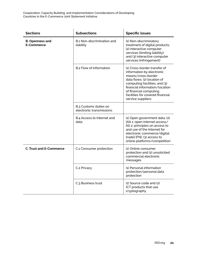| <b>Sections</b>                             | <b>Subsections</b>                                | <b>Specific issues</b>                                                                                                                                                                                                                                               |
|---------------------------------------------|---------------------------------------------------|----------------------------------------------------------------------------------------------------------------------------------------------------------------------------------------------------------------------------------------------------------------------|
| <b>B. Openness and</b><br><b>E-Commerce</b> | B.1 Non-discrimination and<br>liability           | (1) Non-discriminatory<br>treatment of digital products;<br>(2) interactive computer<br>services (limiting liability);<br>and (3) interactive computer<br>services (infringement)                                                                                    |
|                                             | B.2 Flow of information                           | (1) Cross-border transfer of<br>information by electronic<br>means/cross-border<br>data flows; (2) location of<br>computing facilities; and (3)<br>financial information/location<br>of financial computing<br>facilities for covered financial<br>service suppliers |
|                                             | B.3 Customs duties on<br>electronic transmissions |                                                                                                                                                                                                                                                                      |
|                                             | B.4 Access to Internet and<br>data                | (1) Open government data; (2)<br>[Alt 1: open internet access/<br>Alt 2: principles on access to<br>and use of the Internet for<br>electronic commerce/digital<br>trade] [FN]; (3) access to<br>online platforms/competition                                         |
| <b>C. Trust and E-Commerce</b>              | C.1 Consumer protection                           | (1) Online consumer<br>protection and (2) unsolicited<br>commercial electronic<br>messages                                                                                                                                                                           |
|                                             | C.2 Privacy                                       | (1) Personal information<br>protection/personal data<br>protection                                                                                                                                                                                                   |
|                                             | C.3 Business trust                                | $(1)$ Source code and $(2)$<br>ICT products that use<br>cryptography                                                                                                                                                                                                 |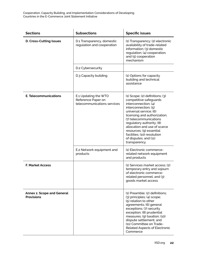| <b>Sections</b>                                        | <b>Subsections</b>                                                        | <b>Specific issues</b>                                                                                                                                                                                                                                                                                                                                                |
|--------------------------------------------------------|---------------------------------------------------------------------------|-----------------------------------------------------------------------------------------------------------------------------------------------------------------------------------------------------------------------------------------------------------------------------------------------------------------------------------------------------------------------|
| <b>D. Cross-Cutting Issues</b>                         | D.1 Transparency, domestic<br>regulation and cooperation                  | (1) Transparency; (2) electronic<br>availability of trade-related<br>information; (3) domestic<br>regulation; (4) cooperation;<br>and (5) cooperation<br>mechanism                                                                                                                                                                                                    |
|                                                        | D.2 Cybersecurity                                                         |                                                                                                                                                                                                                                                                                                                                                                       |
|                                                        | D.3 Capacity building                                                     | (1) Options for capacity<br>building and technical<br>assistance                                                                                                                                                                                                                                                                                                      |
| <b>E. Telecommunications</b>                           | E.1 Updating the WTO<br>Reference Paper on<br>telecommunications services | $(1)$ Scope; $(2)$ definitions; $(3)$<br>competitive safeguards<br>interconnection; (4)<br>interconnection; (5)<br>universal service; (6)<br>licensing and authorization;<br>(7) telecommunications<br>regulatory authority; (8)<br>allocation and use of scarce<br>resources; (9) essential<br>facilities; (10) resolution<br>of disputes; and (11)<br>transparency. |
|                                                        | E.2 Network equipment and<br>products                                     | (1) Electronic commerce-<br>related network equipment<br>and products                                                                                                                                                                                                                                                                                                 |
| <b>F. Market Access</b>                                |                                                                           | (1) Services market access; (2)<br>temporary entry and sojourn<br>of electronic commerce-<br>related personnel; and (3)<br>goods market access                                                                                                                                                                                                                        |
| <b>Annex 1: Scope and General</b><br><b>Provisions</b> |                                                                           | $(1)$ Preamble: $(2)$ definitions:<br>(3) principles; (4) scope;<br>(5) relation to other<br>agreements; (6) general<br>exceptions; (7) security<br>exception; (8) prudential<br>measures; (9) taxation; (10)<br>dispute settlement; and<br>(11) Committee on Trade-<br>Related Aspects of Electronic<br>Commerce                                                     |